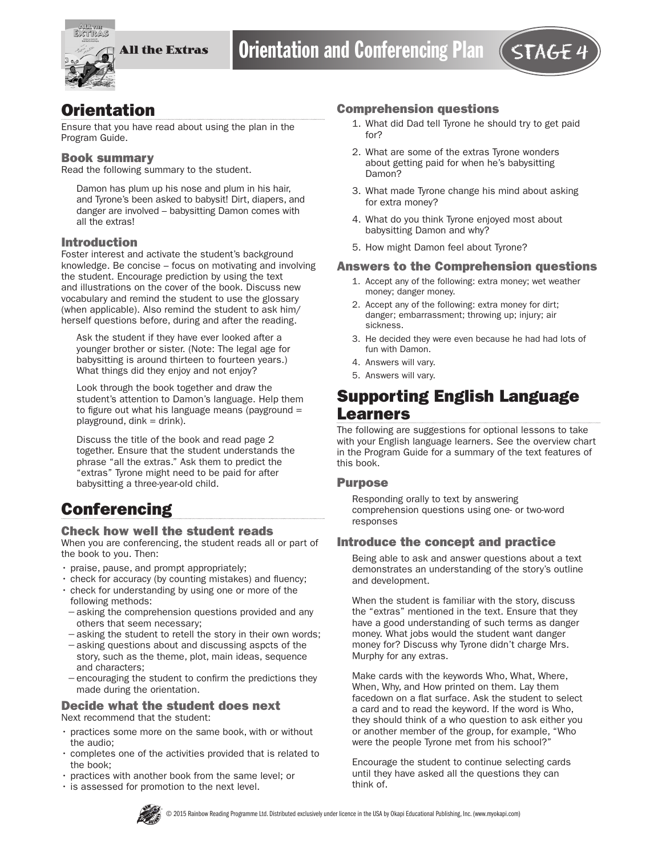

## **Orientation**

Ensure that you have read about using the plan in the Program Guide.

#### Book summary

Read the following summary to the student.

Damon has plum up his nose and plum in his hair, and Tyrone's been asked to babysit! Dirt, diapers, and danger are involved – babysitting Damon comes with all the extras!

## Introduction

Foster interest and activate the student's background knowledge. Be concise – focus on motivating and involving the student. Encourage prediction by using the text and illustrations on the cover of the book. Discuss new vocabulary and remind the student to use the glossary (when applicable). Also remind the student to ask him/ herself questions before, during and after the reading.

Ask the student if they have ever looked after a younger brother or sister. (Note: The legal age for babysitting is around thirteen to fourteen years.) What things did they enjoy and not enjoy?

Look through the book together and draw the student's attention to Damon's language. Help them to figure out what his language means (payground  $=$  $playground,$  dink = drink).

Discuss the title of the book and read page 2 together. Ensure that the student understands the phrase "all the extras." Ask them to predict the "extras" Tyrone might need to be paid for after babysitting a three-year-old child.

## **Conferencing**

#### Check how well the student reads

When you are conferencing, the student reads all or part of the book to you. Then:

- praise, pause, and prompt appropriately;
- check for accuracy (by counting mistakes) and fluency;
- check for understanding by using one or more of the following methods:
- −asking the comprehension questions provided and any others that seem necessary;
- −asking the student to retell the story in their own words; −asking questions about and discussing aspcts of the
- story, such as the theme, plot, main ideas, sequence and characters; −encouraging the student to confirm the predictions they
- made during the orientation.

## Decide what the student does next

Next recommend that the student:

- practices some more on the same book, with or without the audio;
- completes one of the activities provided that is related to the book;
- practices with another book from the same level; or
- is assessed for promotion to the next level.

#### Comprehension questions

- 1. What did Dad tell Tyrone he should try to get paid for?
- 2. What are some of the extras Tyrone wonders about getting paid for when he's babysitting Damon?
- 3. What made Tyrone change his mind about asking for extra money?
- 4. What do you think Tyrone enjoyed most about babysitting Damon and why?
- 5. How might Damon feel about Tyrone?

#### Answers to the Comprehension questions

- 1. Accept any of the following: extra money; wet weather money; danger money.
- 2. Accept any of the following: extra money for dirt; danger; embarrassment; throwing up; injury; air sickness.
- 3. He decided they were even because he had had lots of fun with Damon.
- 4. Answers will vary.
- 5. Answers will vary.

## Supporting English Language Learners

The following are suggestions for optional lessons to take with your English language learners. See the overview chart in the Program Guide for a summary of the text features of this book.

#### Purpose

Responding orally to text by answering comprehension questions using one- or two-word responses

### Introduce the concept and practice

Being able to ask and answer questions about a text demonstrates an understanding of the story's outline and development.

When the student is familiar with the story, discuss the "extras" mentioned in the text. Ensure that they have a good understanding of such terms as danger money. What jobs would the student want danger money for? Discuss why Tyrone didn't charge Mrs. Murphy for any extras.

Make cards with the keywords Who, What, Where, When, Why, and How printed on them. Lay them facedown on a flat surface. Ask the student to select a card and to read the keyword. If the word is Who, they should think of a who question to ask either you or another member of the group, for example, "Who were the people Tyrone met from his school?"

Encourage the student to continue selecting cards until they have asked all the questions they can think of.

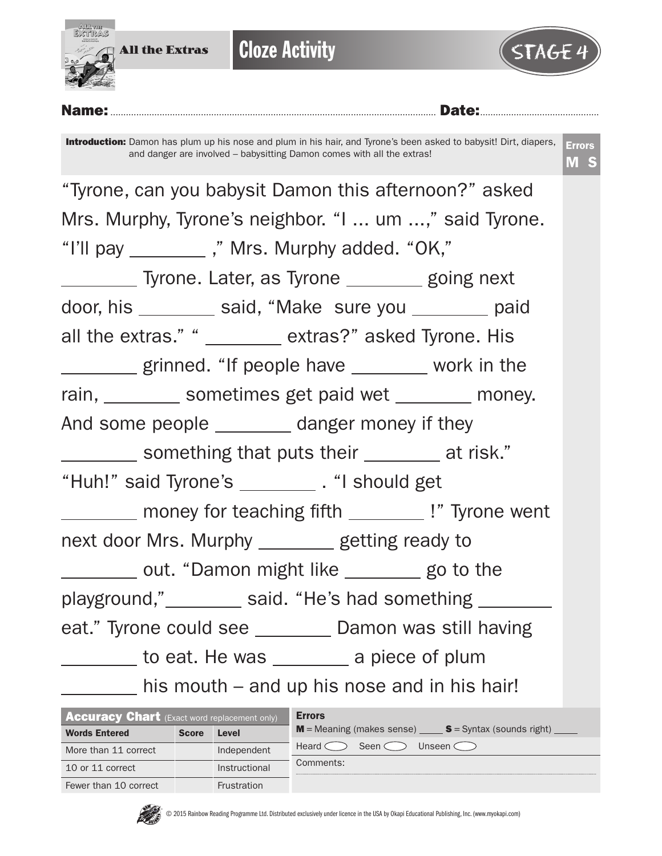

| <b>Accuracy Chart</b> (Exact word replacement only) |              |                    | <b>Errors</b>                                           |  |  |  |  |  |  |
|-----------------------------------------------------|--------------|--------------------|---------------------------------------------------------|--|--|--|--|--|--|
| <b>Words Entered</b>                                | <b>Score</b> | Level              | $M$ = Meaning (makes sense) $S =$ Syntax (sounds right) |  |  |  |  |  |  |
| More than 11 correct                                |              | Independent        | Seen $\subset$<br>Unseen $\subset$<br>Heard $\subset$   |  |  |  |  |  |  |
| 10 or 11 correct                                    |              | Instructional      | Comments:                                               |  |  |  |  |  |  |
| Fewer than 10 correct                               |              | <b>Frustration</b> |                                                         |  |  |  |  |  |  |

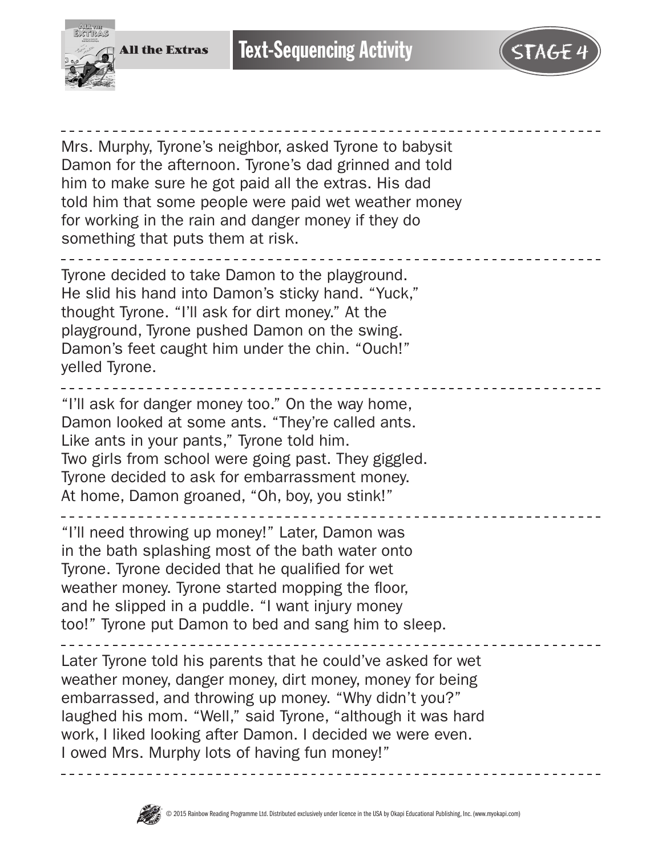



Mrs. Murphy, Tyrone's neighbor, asked Tyrone to babysit Damon for the afternoon. Tyrone's dad grinned and told him to make sure he got paid all the extras. His dad told him that some people were paid wet weather money for working in the rain and danger money if they do something that puts them at risk.

Tyrone decided to take Damon to the playground. He slid his hand into Damon's sticky hand. "Yuck," thought Tyrone. "I'll ask for dirt money." At the playground, Tyrone pushed Damon on the swing. Damon's feet caught him under the chin. "Ouch!" yelled Tyrone.

"I'll ask for danger money too." On the way home, Damon looked at some ants. "They're called ants. Like ants in your pants," Tyrone told him. Two girls from school were going past. They giggled. Tyrone decided to ask for embarrassment money. At home, Damon groaned, "Oh, boy, you stink!"

"I'll need throwing up money!" Later, Damon was in the bath splashing most of the bath water onto Tyrone. Tyrone decided that he qualified for wet weather money. Tyrone started mopping the floor, and he slipped in a puddle. "I want injury money too!" Tyrone put Damon to bed and sang him to sleep.

Later Tyrone told his parents that he could've asked for wet weather money, danger money, dirt money, money for being embarrassed, and throwing up money. "Why didn't you?" laughed his mom. "Well," said Tyrone, "although it was hard work, I liked looking after Damon. I decided we were even. I owed Mrs. Murphy lots of having fun money!"

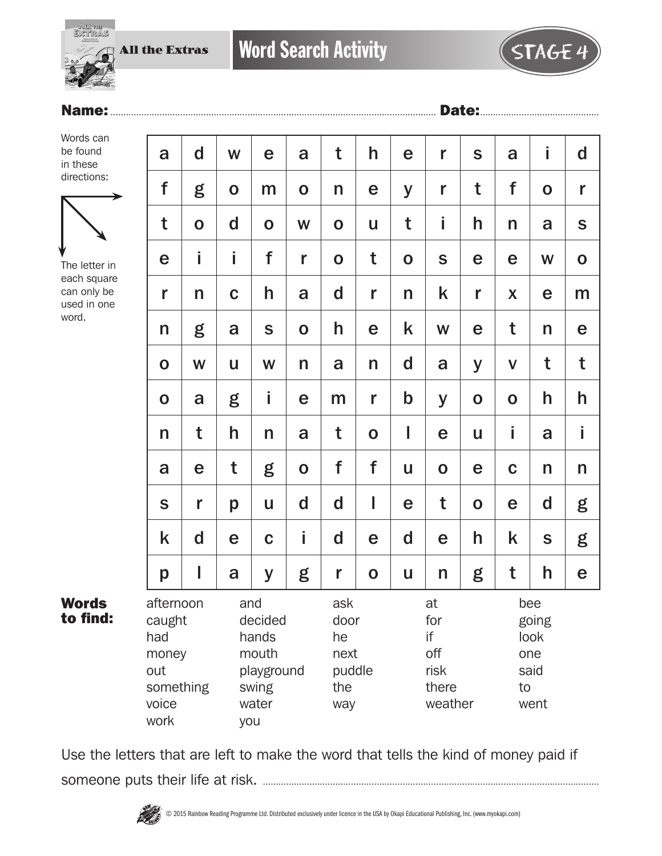

## Name:.............................................................................................................................. Date:..............................................

Words can be found in these directions:



The letter in each square can only be used in one word.

Words to find:

| $\mathsf{d}$                                                                                                                          | W            | e           | a                | t           | h                                                  | e                             | r           | S                                                 | a            | İ           | d           |
|---------------------------------------------------------------------------------------------------------------------------------------|--------------|-------------|------------------|-------------|----------------------------------------------------|-------------------------------|-------------|---------------------------------------------------|--------------|-------------|-------------|
| g                                                                                                                                     | $\mathbf O$  | m           | $\mathbf 0$      | n           | e                                                  | y                             | r           | t                                                 | f            | $\mathbf O$ | r           |
| $\mathbf 0$                                                                                                                           | d            | $\mathbf 0$ | W                | $\mathbf O$ | U                                                  | t                             | i           | h                                                 | n            | a           | $\mathbf S$ |
| İ                                                                                                                                     | İ            | f           | r                | $\mathbf O$ | t                                                  | $\mathbf 0$                   | S           | e                                                 | e            | W           | $\mathbf O$ |
| n                                                                                                                                     | $\mathbf C$  | h           | a                | $\mathbf d$ | r                                                  | n                             | k           | r                                                 | X            | e           | m           |
| g                                                                                                                                     | a            | S           | $\mathbf 0$      | h           | e                                                  | k                             | W           | e                                                 | t            | n           | e           |
| W                                                                                                                                     | $\mathsf{u}$ | W           | n                | a           | n                                                  | d                             | a           | y                                                 | $\mathsf{V}$ | t           | t           |
| a                                                                                                                                     | g            | İ           | e                | m           | r                                                  | $\mathbf b$                   | y           | $\mathbf O$                                       | $\mathbf O$  | h           | h           |
| t                                                                                                                                     | h            | n           | a                | t           | $\mathbf 0$                                        | I                             | e           | U                                                 | İ.           | a           | i           |
| e                                                                                                                                     | t            | g           | $\mathbf O$      | f           | f                                                  | U                             | $\mathbf O$ | e                                                 | $\mathbf C$  | n           | n           |
| r                                                                                                                                     | p            | U           | $\mathbf d$      | $\mathbf d$ | I                                                  | e                             | t           | $\mathbf 0$                                       | e            | d           | g           |
| $\mathbf d$                                                                                                                           | e            | $\mathbf C$ | Î                | d           | e                                                  | d                             | e           | h                                                 | k            | S           | g           |
| I                                                                                                                                     | a            | y           | g                | r           | $\mathbf O$                                        | U                             | n           | g                                                 | t            | h           | e           |
| afternoon<br>and<br>caught<br>decided<br>had<br>hands<br>mouth<br>money<br>out<br>something<br>swing<br>voice<br>water<br>work<br>you |              |             | ask<br>he<br>the |             | at<br>for<br>if<br>off<br>risk<br>there<br>weather |                               |             | bee<br>going<br>look<br>one<br>said<br>to<br>went |              |             |             |
|                                                                                                                                       |              |             |                  | playground  |                                                    | door<br>next<br>puddle<br>way |             |                                                   |              |             |             |

Use the letters that are left to make the word that tells the kind of money paid if someone puts their life at risk. ..................................................................................................................................

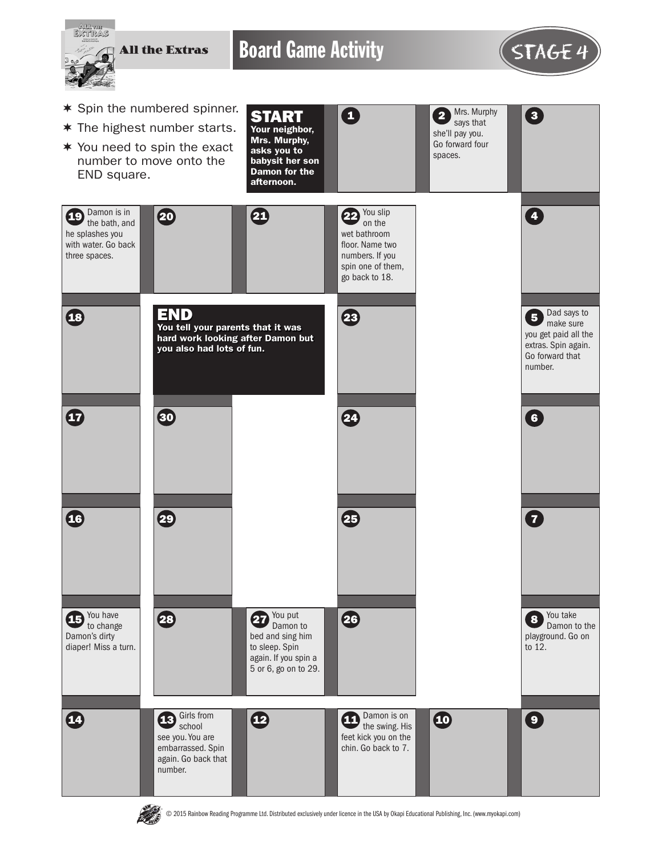

**PASS** 

© 2015 Rainbow Reading Programme Ltd. Distributed exclusively under licence in the USA by Okapi Educational Publishing, Inc. (www.myokapi.com)